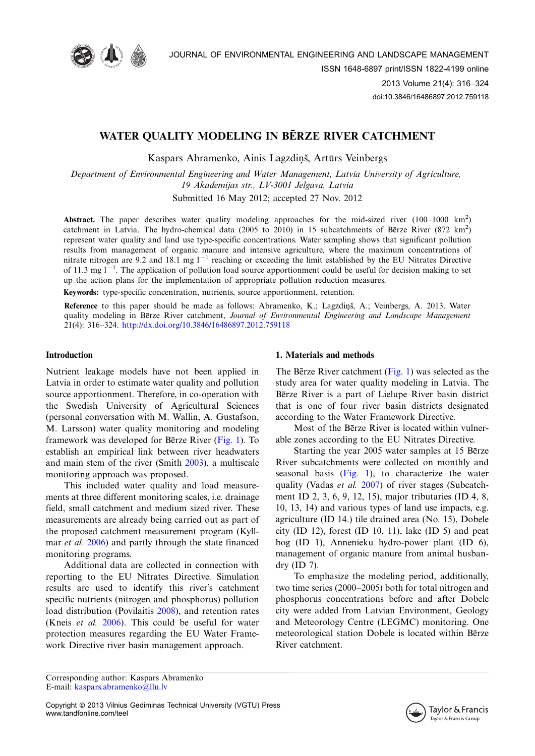

# WATER QUALITY MODELING IN BERZE RIVER CATCHMENT

Kaspars Abramenko, Ainis Lagzdiņš, Artūrs Veinbergs

Department of Environmental Engineering and Water Management, Latvia University of Agriculture, 19 Akademijas str., LV-3001 Jelgava, Latvia

Submitted 16 May 2012; accepted 27 Nov. 2012

Abstract. The paper describes water quality modeling approaches for the mid-sized river  $(100-1000 \text{ km}^2)$ catchment in Latvia. The hydro-chemical data (2005 to 2010) in 15 subcatchments of Berze River (872 km<sup>2</sup>) represent water quality and land use type-specific concentrations. Water sampling shows that significant pollution results from management of organic manure and intensive agriculture, where the maximum concentrations of nitrate nitrogen are 9.2 and 18.1 mg  $1^{-1}$  reaching or exceeding the limit established by the EU Nitrates Directive of 11.3 mg  $1^{-1}$ . The application of pollution load source apportionment could be useful for decision making to set up the action plans for the implementation of appropriate pollution reduction measures.

Keywords: type-specific concentration, nutrients, source apportionment, retention.

Reference to this paper should be made as follows: Abramenko, K.; Lagzdinš, A.; Veinbergs, A. 2013. Water quality modeling in Berze River catchment, Journal of Environmental Engineering and Landscape Management 21(4): 316-324. <http://dx.doi.org/10.3846/16486897.2012.759118>

# Introduction

Nutrient leakage models have not been applied in Latvia in order to estimate water quality and pollution source apportionment. Therefore, in co-operation with the Swedish University of Agricultural Sciences (personal conversation with M. Wallin, A. Gustafson, M. Larsson) water quality monitoring and modeling framework was developed for Be $\tau$ ze River [\(Fig. 1](#page-1-0)). To establish an empirical link between river headwaters and main stem of the river (Smith [2003](#page-8-0)), a multiscale monitoring approach was proposed.

This included water quality and load measurements at three different monitoring scales, i.e. drainage field, small catchment and medium sized river. These measurements are already being carried out as part of the proposed catchment measurement program (Kyll-mar et al. [2006\)](#page-8-0) and partly through the state financed monitoring programs.

Additional data are collected in connection with reporting to the EU Nitrates Directive. Simulation results are used to identify this river's catchment specific nutrients (nitrogen and phosphorus) pollution load distribution (Povilaitis [2008\)](#page-8-0), and retention rates (Kneis et al. [2006](#page-7-0)). This could be useful for water protection measures regarding the EU Water Framework Directive river basin management approach.

# 1. Materials and methods

The Bērze River catchment [\(Fig. 1](#page-1-0)) was selected as the study area for water quality modeling in Latvia. The Berze River is a part of Lielupe River basin district that is one of four river basin districts designated according to the Water Framework Directive.

Most of the Berze River is located within vulnerable zones according to the EU Nitrates Directive.

Starting the year 2005 water samples at 15 Berze River subcatchments were collected on monthly and seasonal basis  $(Fig, 1)$ , to characterize the water quality (Vadas et al. [2007\)](#page-8-0) of river stages (Subcatchment ID 2, 3, 6, 9, 12, 15), major tributaries (ID 4, 8, 10, 13, 14) and various types of land use impacts, e.g. agriculture (ID 14.) tile drained area (No. 15), Dobele city (ID 12), forest (ID 10, 11), lake (ID 5) and peat bog (ID 1), Annenieku hydro-power plant (ID 6), management of organic manure from animal husbandry (ID 7).

To emphasize the modeling period, additionally, two time series (2000-2005) both for total nitrogen and phosphorus concentrations before and after Dobele city were added from Latvian Environment, Geology and Meteorology Centre (LEGMC) monitoring. One meteorological station Dobele is located within Berze River catchment.

Corresponding author: Kaspars Abramenko E-mail: [kaspars.abramenko@llu.lv](mailto:kaspars.abramenko@llu.lv)

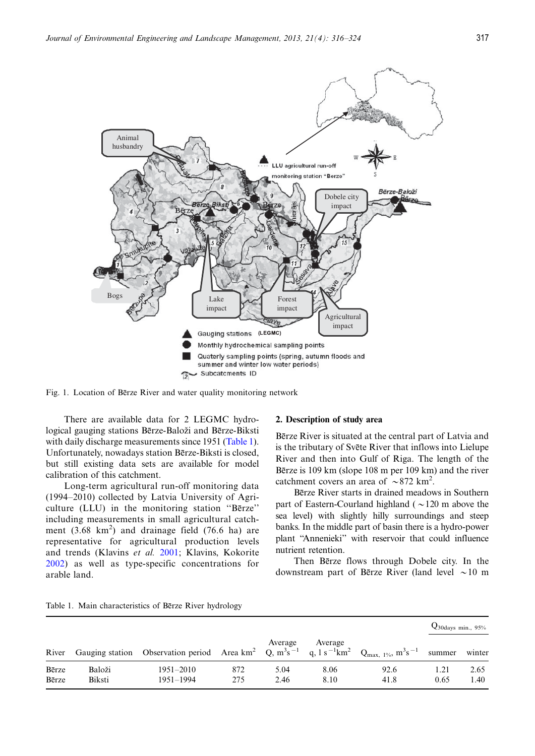<span id="page-1-0"></span>

Fig. 1. Location of Berze River and water quality monitoring network

There are available data for 2 LEGMC hydrological gauging stations Bērze-Baloži and Bērze-Biksti with daily discharge measurements since 1951 (Table 1). Unfortunately, nowadays station Bērze-Biksti is closed, but still existing data sets are available for model calibration of this catchment.

Long-term agricultural run-off monitoring data (1994-2010) collected by Latvia University of Agriculture (LLU) in the monitoring station "Bērze" including measurements in small agricultural catchment  $(3.68 \text{ km}^2)$  and drainage field  $(76.6 \text{ ha})$  are representative for agricultural production levels and trends (Klavins et al. [2001](#page-7-0); Klavins, Kokorite [2002](#page-7-0)) as well as type-specific concentrations for arable land.

#### 2. Description of study area

Bērze River is situated at the central part of Latvia and is the tributary of Svete River that inflows into Lielupe River and then into Gulf of Riga. The length of the Bērze is 109 km (slope 108 m per 109 km) and the river catchment covers an area of  $\sim 872$  km<sup>2</sup>.

Bērze River starts in drained meadows in Southern part of Eastern-Courland highland ( $\sim$ 120 m above the sea level) with slightly hilly surroundings and steep banks. In the middle part of basin there is a hydro-power plant ''Annenieki'' with reservoir that could influence nutrient retention.

Then Bezze flows through Dobele city. In the downstream part of Bērze River (land level  $\sim$  10 m

|  |  | Table 1. Main characteristics of Berze River hydrology |  |  |  |  |  |
|--|--|--------------------------------------------------------|--|--|--|--|--|
|--|--|--------------------------------------------------------|--|--|--|--|--|

|                |                  |                                                                                                                                                                                     |            |              |              |              |        | $Q_{30 \text{days min.}, 95\%}$ |  |
|----------------|------------------|-------------------------------------------------------------------------------------------------------------------------------------------------------------------------------------|------------|--------------|--------------|--------------|--------|---------------------------------|--|
| River          |                  | Gauging station Observation period Area km <sup>2</sup> Q, m <sup>3</sup> s <sup>-1</sup> q, 1s <sup>-1</sup> km <sup>2</sup> Q <sub>max, 1%</sub> , m <sup>3</sup> s <sup>-1</sup> |            | Average      | Average      |              | summer | winter                          |  |
| Bērze<br>Bērze | Baloži<br>Biksti | 1951–2010<br>1951-1994                                                                                                                                                              | 872<br>275 | 5.04<br>2.46 | 8.06<br>8.10 | 92.6<br>41.8 | 0.65   | 2.65<br>1.40                    |  |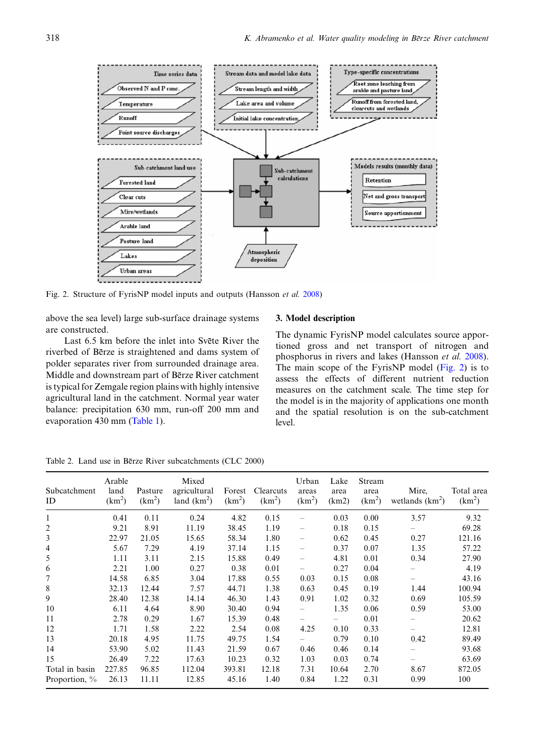<span id="page-2-0"></span>

Fig. 2. Structure of FyrisNP model inputs and outputs (Hansson et al. [2008](#page-7-0))

above the sea level) large sub-surface drainage systems are constructed.

Last 6.5 km before the inlet into Svete River the riverbed of Bērze is straightened and dams system of polder separates river from surrounded drainage area. Middle and downstream part of Berze River catchment is typical for Zemgale region plains with highly intensive agricultural land in the catchment. Normal year water balance: precipitation 630 mm, run-off 200 mm and evaporation 430 mm [\(Table 1\)](#page-1-0).

#### 3. Model description

The dynamic FyrisNP model calculates source apportioned gross and net transport of nitrogen and phosphorus in rivers and lakes (Hansson et al. [2008](#page-7-0)). The main scope of the FyrisNP model (Fig. 2) is to assess the effects of different nutrient reduction measures on the catchment scale. The time step for the model is in the majority of applications one month and the spatial resolution is on the sub-catchment level.

Table 2. Land use in Berze River subcatchments (CLC 2000)

| Subcatchment<br>ID | Arable<br>land<br>(km <sup>2</sup> ) | Pasture<br>(km <sup>2</sup> ) | Mixed<br>agricultural<br>land $(km^2)$ | Forest<br>(km <sup>2</sup> ) | Clearcuts<br>(km <sup>2</sup> ) | Urban<br>areas<br>$(km^2)$ | Lake<br>area<br>(km2) | Stream<br>area<br>(km <sup>2</sup> ) | Mire,<br>wetlands $(km^2)$ | Total area<br>(km <sup>2</sup> ) |
|--------------------|--------------------------------------|-------------------------------|----------------------------------------|------------------------------|---------------------------------|----------------------------|-----------------------|--------------------------------------|----------------------------|----------------------------------|
| $\mathbf{1}$       | 0.41                                 | 0.11                          | 0.24                                   | 4.82                         | 0.15                            |                            | 0.03                  | 0.00                                 | 3.57                       | 9.32                             |
| 2                  | 9.21                                 | 8.91                          | 11.19                                  | 38.45                        | 1.19                            |                            | 0.18                  | 0.15                                 |                            | 69.28                            |
| 3                  | 22.97                                | 21.05                         | 15.65                                  | 58.34                        | 1.80                            |                            | 0.62                  | 0.45                                 | 0.27                       | 121.16                           |
| 4                  | 5.67                                 | 7.29                          | 4.19                                   | 37.14                        | 1.15                            |                            | 0.37                  | 0.07                                 | 1.35                       | 57.22                            |
| 5                  | 1.11                                 | 3.11                          | 2.15                                   | 15.88                        | 0.49                            |                            | 4.81                  | 0.01                                 | 0.34                       | 27.90                            |
| 6                  | 2.21                                 | 1.00                          | 0.27                                   | 0.38                         | 0.01                            |                            | 0.27                  | 0.04                                 |                            | 4.19                             |
| 7                  | 14.58                                | 6.85                          | 3.04                                   | 17.88                        | 0.55                            | 0.03                       | 0.15                  | 0.08                                 |                            | 43.16                            |
| 8                  | 32.13                                | 12.44                         | 7.57                                   | 44.71                        | 1.38                            | 0.63                       | 0.45                  | 0.19                                 | 1.44                       | 100.94                           |
| 9                  | 28.40                                | 12.38                         | 14.14                                  | 46.30                        | 1.43                            | 0.91                       | 1.02                  | 0.32                                 | 0.69                       | 105.59                           |
| 10                 | 6.11                                 | 4.64                          | 8.90                                   | 30.40                        | 0.94                            |                            | 1.35                  | 0.06                                 | 0.59                       | 53.00                            |
| 11                 | 2.78                                 | 0.29                          | 1.67                                   | 15.39                        | 0.48                            | $\overline{\phantom{0}}$   |                       | 0.01                                 |                            | 20.62                            |
| 12                 | 1.71                                 | 1.58                          | 2.22                                   | 2.54                         | 0.08                            | 4.25                       | 0.10                  | 0.33                                 |                            | 12.81                            |
| 13                 | 20.18                                | 4.95                          | 11.75                                  | 49.75                        | 1.54                            |                            | 0.79                  | 0.10                                 | 0.42                       | 89.49                            |
| 14                 | 53.90                                | 5.02                          | 11.43                                  | 21.59                        | 0.67                            | 0.46                       | 0.46                  | 0.14                                 |                            | 93.68                            |
| 15                 | 26.49                                | 7.22                          | 17.63                                  | 10.23                        | 0.32                            | 1.03                       | 0.03                  | 0.74                                 |                            | 63.69                            |
| Total in basin     | 227.85                               | 96.85                         | 112.04                                 | 393.81                       | 12.18                           | 7.31                       | 10.64                 | 2.70                                 | 8.67                       | 872.05                           |
| Proportion, $\%$   | 26.13                                | 11.11                         | 12.85                                  | 45.16                        | 1.40                            | 0.84                       | 1.22                  | 0.31                                 | 0.99                       | 100                              |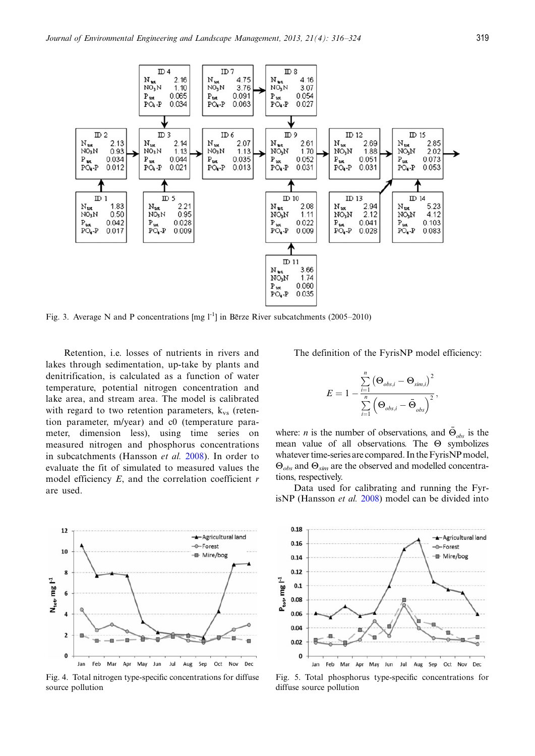<span id="page-3-0"></span>

Fig. 3. Average N and P concentrations [mg  $1^{-1}$ ] in Berze River subcatchments (2005–2010)

Retention, i.e. losses of nutrients in rivers and lakes through sedimentation, up-take by plants and denitrification, is calculated as a function of water temperature, potential nitrogen concentration and lake area, and stream area. The model is calibrated with regard to two retention parameters,  $k_{vs}$  (retention parameter, m/year) and c0 (temperature parameter, dimension less), using time series on measured nitrogen and phosphorus concentrations in subcatchments (Hansson et al. [2008\)](#page-7-0). In order to evaluate the fit of simulated to measured values the model efficiency  $E$ , and the correlation coefficient  $r$ are used.

The definition of the FyrisNP model efficiency:

$$
E = 1 - \frac{\sum\limits_{i=1}^{n}\left(\mathbf{\Theta}_{obs,i} - \mathbf{\Theta}_{sim,i}\right)^{2}}{\sum\limits_{i=1}^{n}\left(\mathbf{\Theta}_{obs,i} - \bar{\mathbf{\Theta}}_{obs}\right)^{2}},
$$

where: *n* is the number of observations, and  $\Theta_{obs}$  is the mean value of all observations. The  $\Theta$  symbolizes whatever time-series are compared. In the FyrisNP model,  $\Theta_{obs}$  and  $\Theta_{sim}$  are the observed and modelled concentrations, respectively.

Data used for calibrating and running the FyrisNP (Hansson et al. [2008](#page-7-0)) model can be divided into



Fig. 4. Total nitrogen type-specific concentrations for diffuse source pollution



Fig. 5. Total phosphorus type-specific concentrations for diffuse source pollution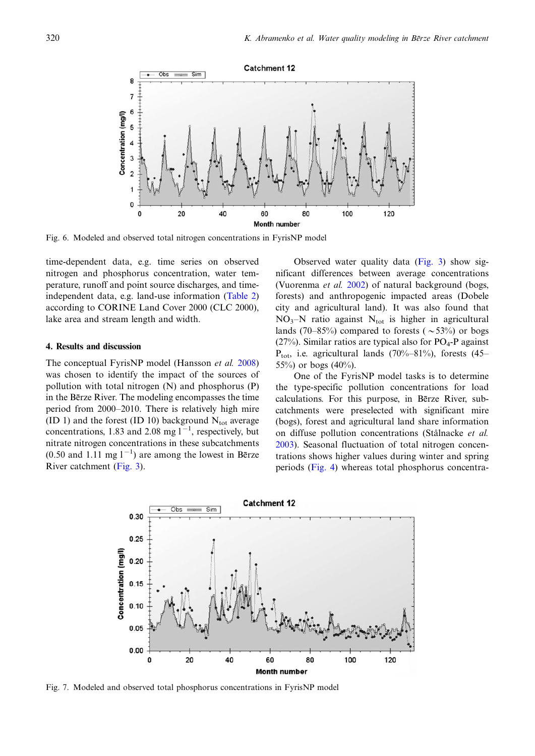

Fig. 6. Modeled and observed total nitrogen concentrations in FyrisNP model

time-dependent data, e.g. time series on observed nitrogen and phosphorus concentration, water temperature, runoff and point source discharges, and timeindependent data, e.g. land-use information [\(Table 2](#page-2-0)) according to CORINE Land Cover 2000 (CLC 2000), lake area and stream length and width.

#### 4. Results and discussion

The conceptual FyrisNP model (Hansson et al. [2008](#page-7-0)) was chosen to identify the impact of the sources of pollution with total nitrogen (N) and phosphorus (P) in the Betze River. The modeling encompasses the time period from 2000-2010. There is relatively high mire (ID 1) and the forest (ID 10) background  $N_{\text{tot}}$  average concentrations, 1.83 and 2.08 mg  $1^{-1}$ , respectively, but nitrate nitrogen concentrations in these subcatchments  $(0.50$  and 1.11 mg  $1^{-1}$ ) are among the lowest in Betze River catchment ([Fig. 3](#page-3-0)).

Observed water quality data [\(Fig. 3](#page-3-0)) show significant differences between average concentrations (Vuorenma et al. [2002\)](#page-8-0) of natural background (bogs, forests) and anthropogenic impacted areas (Dobele city and agricultural land). It was also found that  $NO<sub>3</sub>–N$  ratio against  $N<sub>tot</sub>$  is higher in agricultural lands (70–85%) compared to forests ( $\sim$ 53%) or bogs (27%). Similar ratios are typical also for  $PO<sub>4</sub>-P$  against  $P_{\text{tot}}$ , i.e. agricultural lands (70%–81%), forests (45– 55%) or bogs  $(40%)$ .

One of the FyrisNP model tasks is to determine the type-specific pollution concentrations for load calculations. For this purpose, in Berze River, subcatchments were preselected with significant mire (bogs), forest and agricultural land share information on diffuse pollution concentrations (Stålnacke et al. [2003](#page-8-0)). Seasonal fluctuation of total nitrogen concentrations shows higher values during winter and spring periods ([Fig. 4\)](#page-3-0) whereas total phosphorus concentra-



Fig. 7. Modeled and observed total phosphorus concentrations in FyrisNP model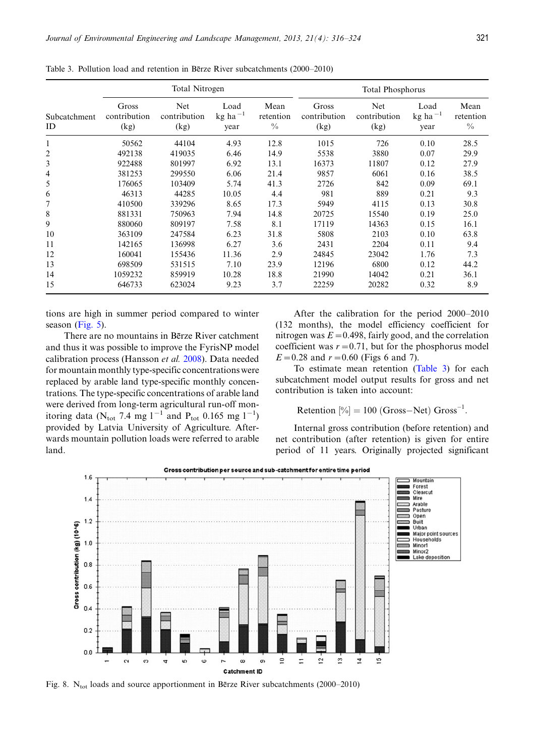|                    |                               | Total Nitrogen              |                                                    |                                    | <b>Total Phosphorus</b>       |                                    |                                                    |                                    |
|--------------------|-------------------------------|-----------------------------|----------------------------------------------------|------------------------------------|-------------------------------|------------------------------------|----------------------------------------------------|------------------------------------|
| Subcatchment<br>ID | Gross<br>contribution<br>(kg) | Net<br>contribution<br>(kg) | Load<br>$kg$ ha <sup><math>-1</math></sup><br>year | Mean<br>retention<br>$\frac{0}{0}$ | Gross<br>contribution<br>(kg) | <b>Net</b><br>contribution<br>(kg) | Load<br>$kg$ ha <sup><math>-1</math></sup><br>year | Mean<br>retention<br>$\frac{0}{0}$ |
| $\mathbf{1}$       | 50562                         | 44104                       | 4.93                                               | 12.8                               | 1015                          | 726                                | 0.10                                               | 28.5                               |
| 2                  | 492138                        | 419035                      | 6.46                                               | 14.9                               | 5538                          | 3880                               | 0.07                                               | 29.9                               |
| 3                  | 922488                        | 801997                      | 6.92                                               | 13.1                               | 16373                         | 11807                              | 0.12                                               | 27.9                               |
| 4                  | 381253                        | 299550                      | 6.06                                               | 21.4                               | 9857                          | 6061                               | 0.16                                               | 38.5                               |
| 5                  | 176065                        | 103409                      | 5.74                                               | 41.3                               | 2726                          | 842                                | 0.09                                               | 69.1                               |
| 6                  | 46313                         | 44285                       | 10.05                                              | 4.4                                | 981                           | 889                                | 0.21                                               | 9.3                                |
|                    | 410500                        | 339296                      | 8.65                                               | 17.3                               | 5949                          | 4115                               | 0.13                                               | 30.8                               |
| 8                  | 881331                        | 750963                      | 7.94                                               | 14.8                               | 20725                         | 15540                              | 0.19                                               | 25.0                               |
| 9                  | 880060                        | 809197                      | 7.58                                               | 8.1                                | 17119                         | 14363                              | 0.15                                               | 16.1                               |
| 10                 | 363109                        | 247584                      | 6.23                                               | 31.8                               | 5808                          | 2103                               | 0.10                                               | 63.8                               |
| 11                 | 142165                        | 136998                      | 6.27                                               | 3.6                                | 2431                          | 2204                               | 0.11                                               | 9.4                                |
| 12                 | 160041                        | 155436                      | 11.36                                              | 2.9                                | 24845                         | 23042                              | 1.76                                               | 7.3                                |
| 13                 | 698509                        | 531515                      | 7.10                                               | 23.9                               | 12196                         | 6800                               | 0.12                                               | 44.2                               |
| 14                 | 1059232                       | 859919                      | 10.28                                              | 18.8                               | 21990                         | 14042                              | 0.21                                               | 36.1                               |
| 15                 | 646733                        | 623024                      | 9.23                                               | 3.7                                | 22259                         | 20282                              | 0.32                                               | 8.9                                |

<span id="page-5-0"></span>Table 3. Pollution load and retention in Berze River subcatchments (2000–2010)

tions are high in summer period compared to winter season [\(Fig. 5\)](#page-3-0).

There are no mountains in Bērze River catchment and thus it was possible to improve the FyrisNP model calibration process (Hansson et al. [2008](#page-7-0)). Data needed for mountain monthly type-specific concentrations were replaced by arable land type-specific monthly concentrations. The type-specific concentrations of arable land were derived from long-term agricultural run-off monitoring data (N<sub>tot</sub> 7.4 mg  $1^{-1}$  and P<sub>tot</sub> 0.165 mg  $1^{-1}$ ) provided by Latvia University of Agriculture. Afterwards mountain pollution loads were referred to arable land.

After the calibration for the period 2000-2010 (132 months), the model efficiency coefficient for nitrogen was  $E=0.498$ , fairly good, and the correlation coefficient was  $r=0.71$ , but for the phosphorus model  $E = 0.28$  and  $r = 0.60$  (Figs 6 and 7).

To estimate mean retention (Table 3) for each subcatchment model output results for gross and net contribution is taken into account:

$$
Retention [\%] = 100 (Gross-Net) Gross-1
$$

:

Internal gross contribution (before retention) and net contribution (after retention) is given for entire period of 11 years. Originally projected significant



Fig. 8. N<sub>tot</sub> loads and source apportionment in Be<sup>rze</sup> River subcatchments (2000–2010)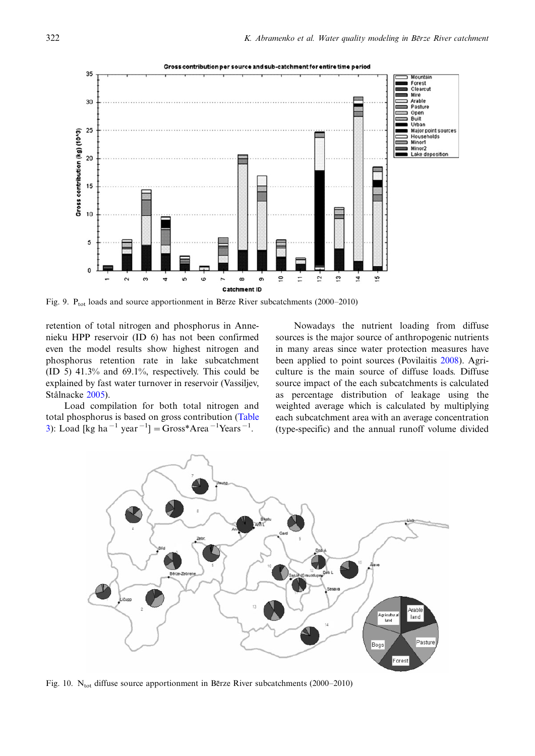

Fig. 9.  $P_{\text{tot}}$  loads and source apportionment in Be<sup>r</sup>ze River subcatchments (2000–2010)

retention of total nitrogen and phosphorus in Annenieku HPP reservoir (ID 6) has not been confirmed even the model results show highest nitrogen and phosphorus retention rate in lake subcatchment (ID 5) 41.3% and 69.1%, respectively. This could be explained by fast water turnover in reservoir (Vassiljev, Stålnacke [2005\)](#page-8-0).

Load compilation for both total nitrogen and total phosphorus is based on gross contribution ([Table](#page-5-0) [3\)](#page-5-0): Load [kg ha<sup>-1</sup> year<sup>-1</sup>] = Gross\*Area<sup>-1</sup>Years<sup>-1</sup>.

Nowadays the nutrient loading from diffuse sources is the major source of anthropogenic nutrients in many areas since water protection measures have been applied to point sources (Povilaitis [2008\)](#page-8-0). Agriculture is the main source of diffuse loads. Diffuse source impact of the each subcatchments is calculated as percentage distribution of leakage using the weighted average which is calculated by multiplying each subcatchment area with an average concentration (type-specific) and the annual runoff volume divided



Fig. 10.  $N_{\text{tot}}$  diffuse source apportionment in Berze River subcatchments (2000–2010)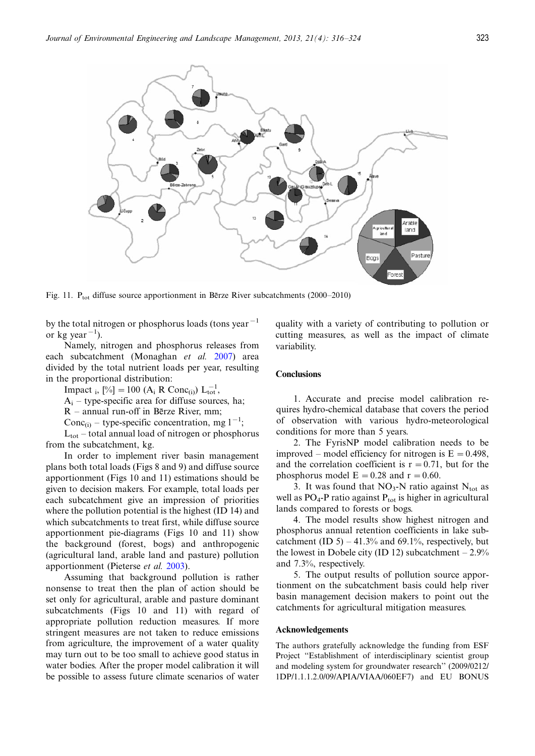<span id="page-7-0"></span>

Fig. 11.  $P_{\text{tot}}$  diffuse source apportionment in Berze River subcatchments (2000–2010)

by the total nitrogen or phosphorus loads (tons year<sup> $-1$ </sup> or kg year<sup> $-1$ </sup>).

Namely, nitrogen and phosphorus releases from each subcatchment (Monaghan et al. [2007\)](#page-8-0) area divided by the total nutrient loads per year, resulting in the proportional distribution:

Impact <sub>i</sub>,  $[\%] = 100 \ (A_i \ R \ Cone_{(i)}) \ L_{tot}^{-1}$ ,

 $A_i$  – type-specific area for diffuse sources, ha;

R – annual run-off in Bērze River, mm;

Conc<sub>(i)</sub> – type-specific concentration, mg  $1^{-1}$ ;

 $L_{\text{tot}}$  – total annual load of nitrogen or phosphorus from the subcatchment, kg.

In order to implement river basin management plans both total loads (Figs 8 and 9) and diffuse source apportionment (Figs 10 and 11) estimations should be given to decision makers. For example, total loads per each subcatchment give an impression of priorities where the pollution potential is the highest (ID 14) and which subcatchments to treat first, while diffuse source apportionment pie-diagrams (Figs 10 and 11) show the background (forest, bogs) and anthropogenic (agricultural land, arable land and pasture) pollution apportionment (Pieterse et al. [2003\)](#page-8-0).

Assuming that background pollution is rather nonsense to treat then the plan of action should be set only for agricultural, arable and pasture dominant subcatchments (Figs 10 and 11) with regard of appropriate pollution reduction measures. If more stringent measures are not taken to reduce emissions from agriculture, the improvement of a water quality may turn out to be too small to achieve good status in water bodies. After the proper model calibration it will be possible to assess future climate scenarios of water quality with a variety of contributing to pollution or cutting measures, as well as the impact of climate variability.

# **Conclusions**

1. Accurate and precise model calibration requires hydro-chemical database that covers the period of observation with various hydro-meteorological conditions for more than 5 years.

2. The FyrisNP model calibration needs to be improved – model efficiency for nitrogen is  $E = 0.498$ , and the correlation coefficient is  $r = 0.71$ , but for the phosphorus model  $E = 0.28$  and  $r = 0.60$ .

3. It was found that  $NO<sub>3</sub>-N$  ratio against  $N<sub>tot</sub>$  as well as  $PO_4$ -P ratio against  $P_{tot}$  is higher in agricultural lands compared to forests or bogs.

4. The model results show highest nitrogen and phosphorus annual retention coefficients in lake subcatchment  $(ID 5) - 41.3%$  and 69.1%, respectively, but the lowest in Dobele city (ID 12) subcatchment  $-2.9\%$ and 7.3%, respectively.

5. The output results of pollution source apportionment on the subcatchment basis could help river basin management decision makers to point out the catchments for agricultural mitigation measures.

## Acknowledgements

The authors gratefully acknowledge the funding from ESF Project ''Establishment of interdisciplinary scientist group and modeling system for groundwater research'' (2009/0212/ 1DP/1.1.1.2.0/09/APIA/VIAA/060EF7) and EU BONUS